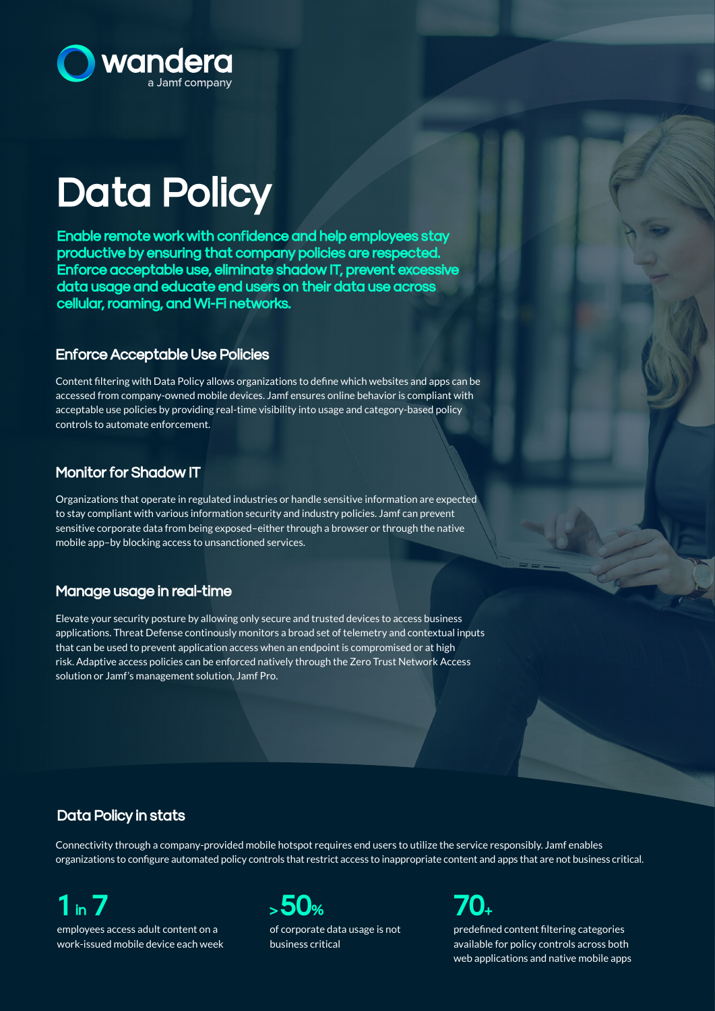

# Data Policy

Enable remote work with confidence and help employees stay productive by ensuring that company policies are respected. Enforce acceptable use, eliminate shadow IT, prevent excessive data usage and educate end users on their data use across cellular, roaming, and Wi-Fi networks.

### Enforce Acceptable Use Policies

Content filtering with Data Policy allows organizations to define which websites and apps can be accessed from company-owned mobile devices. Jamf ensures online behavior is compliant with acceptable use policies by providing real-time visibility into usage and category-based policy controls to automate enforcement.

### Monitor for Shadow IT

Organizations that operate in regulated industries or handle sensitive information are expected to stay compliant with various information security and industry policies. Jamf can prevent sensitive corporate data from being exposed–either through a browser or through the native mobile app–by blocking access to unsanctioned services.

### Manage usage in real-time

Elevate your security posture by allowing only secure and trusted devices to access business applications. Threat Defense continously monitors a broad set of telemetry and contextual inputs that can be used to prevent application access when an endpoint is compromised or at high risk. Adaptive access policies can be enforced natively through the Zero Trust Network Access solution or Jamf's management solution, Jamf Pro.

## Data Policy in stats

Connectivity through a company-provided mobile hotspot requires end users to utilize the service responsibly. Jamf enables organizations to configure automated policy controls that restrict access to inappropriate content and apps that are not business critical.

# $1<sub>in</sub>$

employees access adult content on a work-issued mobile device each week



of corporate data usage is not business critical



predefined content filtering categories available for policy controls across both web applications and native mobile apps